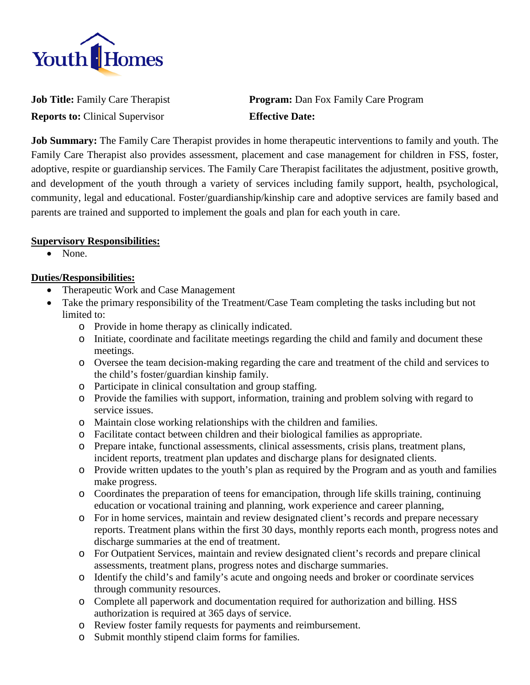

**Reports to:** Clinical Supervisor **Effective Date:**

**Job Title:** Family Care Therapist **Program:** Dan Fox Family Care Program

**Job Summary:** The Family Care Therapist provides in home therapeutic interventions to family and youth. The Family Care Therapist also provides assessment, placement and case management for children in FSS, foster, adoptive, respite or guardianship services. The Family Care Therapist facilitates the adjustment, positive growth, and development of the youth through a variety of services including family support, health, psychological, community, legal and educational. Foster/guardianship/kinship care and adoptive services are family based and parents are trained and supported to implement the goals and plan for each youth in care.

### **Supervisory Responsibilities:**

• None.

## **Duties/Responsibilities:**

- Therapeutic Work and Case Management
- Take the primary responsibility of the Treatment/Case Team completing the tasks including but not limited to:
	- o Provide in home therapy as clinically indicated.
	- o Initiate, coordinate and facilitate meetings regarding the child and family and document these meetings.
	- o Oversee the team decision-making regarding the care and treatment of the child and services to the child's foster/guardian kinship family.
	- o Participate in clinical consultation and group staffing.
	- o Provide the families with support, information, training and problem solving with regard to service issues.
	- o Maintain close working relationships with the children and families.
	- o Facilitate contact between children and their biological families as appropriate.
	- o Prepare intake, functional assessments, clinical assessments, crisis plans, treatment plans, incident reports, treatment plan updates and discharge plans for designated clients.
	- o Provide written updates to the youth's plan as required by the Program and as youth and families make progress.
	- o Coordinates the preparation of teens for emancipation, through life skills training, continuing education or vocational training and planning, work experience and career planning,
	- o For in home services, maintain and review designated client's records and prepare necessary reports. Treatment plans within the first 30 days, monthly reports each month, progress notes and discharge summaries at the end of treatment.
	- o For Outpatient Services, maintain and review designated client's records and prepare clinical assessments, treatment plans, progress notes and discharge summaries.
	- o Identify the child's and family's acute and ongoing needs and broker or coordinate services through community resources.
	- o Complete all paperwork and documentation required for authorization and billing. HSS authorization is required at 365 days of service.
	- o Review foster family requests for payments and reimbursement.
	- o Submit monthly stipend claim forms for families.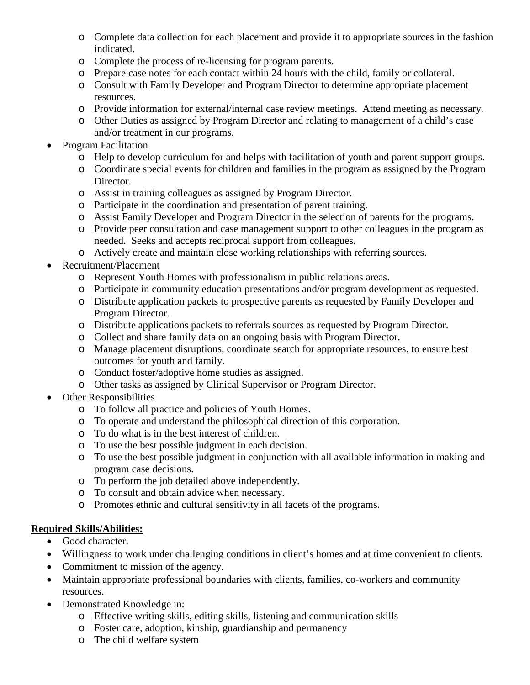- o Complete data collection for each placement and provide it to appropriate sources in the fashion indicated.
- o Complete the process of re-licensing for program parents.
- o Prepare case notes for each contact within 24 hours with the child, family or collateral.
- o Consult with Family Developer and Program Director to determine appropriate placement resources.
- o Provide information for external/internal case review meetings. Attend meeting as necessary.
- o Other Duties as assigned by Program Director and relating to management of a child's case and/or treatment in our programs.
- Program Facilitation
	- o Help to develop curriculum for and helps with facilitation of youth and parent support groups.
	- o Coordinate special events for children and families in the program as assigned by the Program Director.
	- o Assist in training colleagues as assigned by Program Director.
	- o Participate in the coordination and presentation of parent training.
	- o Assist Family Developer and Program Director in the selection of parents for the programs.
	- o Provide peer consultation and case management support to other colleagues in the program as needed. Seeks and accepts reciprocal support from colleagues.
	- o Actively create and maintain close working relationships with referring sources.
- Recruitment/Placement
	- o Represent Youth Homes with professionalism in public relations areas.
	- o Participate in community education presentations and/or program development as requested.
	- o Distribute application packets to prospective parents as requested by Family Developer and Program Director.
	- o Distribute applications packets to referrals sources as requested by Program Director.
	- o Collect and share family data on an ongoing basis with Program Director.
	- o Manage placement disruptions, coordinate search for appropriate resources, to ensure best outcomes for youth and family.
	- o Conduct foster/adoptive home studies as assigned.
	- o Other tasks as assigned by Clinical Supervisor or Program Director.
- Other Responsibilities
	- o To follow all practice and policies of Youth Homes.
	- o To operate and understand the philosophical direction of this corporation.
	- o To do what is in the best interest of children.
	- o To use the best possible judgment in each decision.
	- o To use the best possible judgment in conjunction with all available information in making and program case decisions.
	- o To perform the job detailed above independently.
	- o To consult and obtain advice when necessary.
	- o Promotes ethnic and cultural sensitivity in all facets of the programs.

# **Required Skills/Abilities:**

- Good character.
- Willingness to work under challenging conditions in client's homes and at time convenient to clients.
- Commitment to mission of the agency.
- Maintain appropriate professional boundaries with clients, families, co-workers and community resources.
- Demonstrated Knowledge in:
	- o Effective writing skills, editing skills, listening and communication skills
	- o Foster care, adoption, kinship, guardianship and permanency
	- o The child welfare system